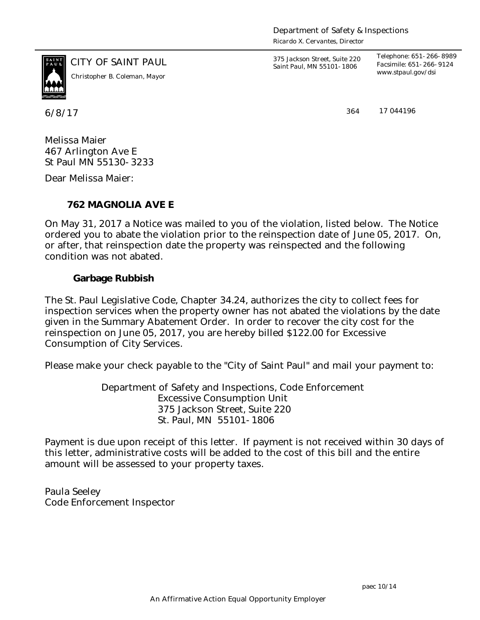Department of Safety & Inspections

*Ricardo X. Cervantes, Director*



*www.stpaul.gov/dsi Christopher B. Coleman, Mayor*

6/8/17 364

CITY OF SAINT PAUL *375 Jackson Street, Suite 220 Saint Paul, MN 55101-1806*

*Telephone: 651-266-8989 Facsimile: 651-266-9124*

17 044196

Melissa Maier 467 Arlington Ave E St Paul MN 55130-3233

Dear Melissa Maier:

**762 MAGNOLIA AVE E**

On May 31, 2017 a Notice was mailed to you of the violation, listed below. The Notice ordered you to abate the violation prior to the reinspection date of June 05, 2017. On, or after, that reinspection date the property was reinspected and the following condition was not abated.

**Garbage Rubbish**

The St. Paul Legislative Code, Chapter 34.24, authorizes the city to collect fees for inspection services when the property owner has not abated the violations by the date given in the Summary Abatement Order. In order to recover the city cost for the reinspection on June 05, 2017, you are hereby billed \$122.00 for Excessive Consumption of City Services.

Please make your check payable to the "City of Saint Paul" and mail your payment to:

Department of Safety and Inspections, Code Enforcement Excessive Consumption Unit 375 Jackson Street, Suite 220 St. Paul, MN 55101-1806

Payment is due upon receipt of this letter. If payment is not received within 30 days of this letter, administrative costs will be added to the cost of this bill and the entire amount will be assessed to your property taxes.

Paula Seeley Code Enforcement Inspector